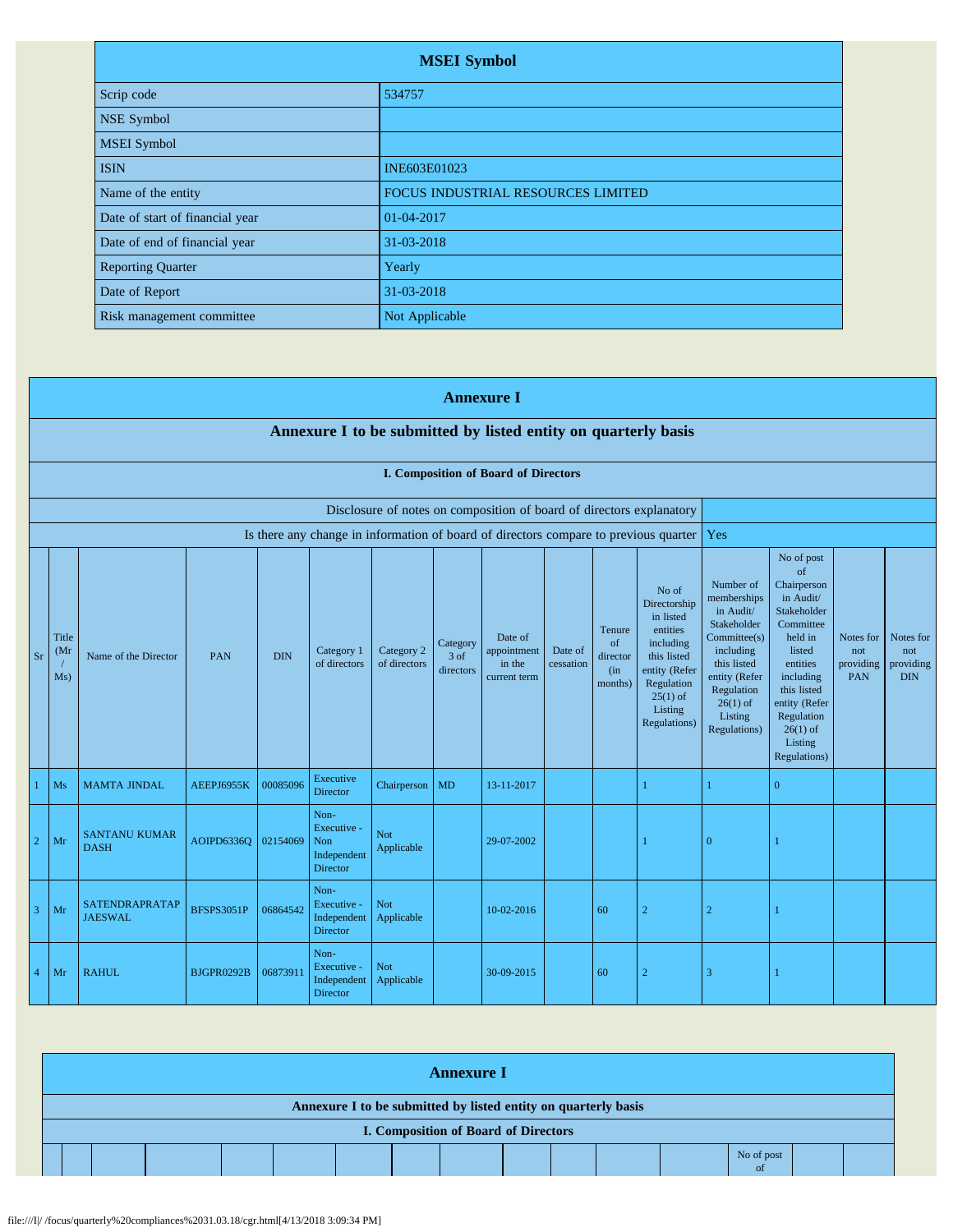| <b>MSEI</b> Symbol              |                                    |  |  |  |  |  |  |
|---------------------------------|------------------------------------|--|--|--|--|--|--|
| Scrip code                      | 534757                             |  |  |  |  |  |  |
| NSE Symbol                      |                                    |  |  |  |  |  |  |
| <b>MSEI</b> Symbol              |                                    |  |  |  |  |  |  |
| <b>ISIN</b>                     | INE603E01023                       |  |  |  |  |  |  |
| Name of the entity              | FOCUS INDUSTRIAL RESOURCES LIMITED |  |  |  |  |  |  |
| Date of start of financial year | 01-04-2017                         |  |  |  |  |  |  |
| Date of end of financial year   | 31-03-2018                         |  |  |  |  |  |  |
| <b>Reporting Quarter</b>        | Yearly                             |  |  |  |  |  |  |
| Date of Report                  | 31-03-2018                         |  |  |  |  |  |  |
| Risk management committee       | Not Applicable                     |  |  |  |  |  |  |

|                |                                                                |                                     |                   |            |                                                                     |                            |                                 | <b>Annexure I</b>                                                    |                      |                                             |                                                                                                                                                    |                                                                                                                                                                          |                                                                                                                                                                                                               |                                      |                                             |
|----------------|----------------------------------------------------------------|-------------------------------------|-------------------|------------|---------------------------------------------------------------------|----------------------------|---------------------------------|----------------------------------------------------------------------|----------------------|---------------------------------------------|----------------------------------------------------------------------------------------------------------------------------------------------------|--------------------------------------------------------------------------------------------------------------------------------------------------------------------------|---------------------------------------------------------------------------------------------------------------------------------------------------------------------------------------------------------------|--------------------------------------|---------------------------------------------|
|                | Annexure I to be submitted by listed entity on quarterly basis |                                     |                   |            |                                                                     |                            |                                 |                                                                      |                      |                                             |                                                                                                                                                    |                                                                                                                                                                          |                                                                                                                                                                                                               |                                      |                                             |
|                | I. Composition of Board of Directors                           |                                     |                   |            |                                                                     |                            |                                 |                                                                      |                      |                                             |                                                                                                                                                    |                                                                                                                                                                          |                                                                                                                                                                                                               |                                      |                                             |
|                |                                                                |                                     |                   |            |                                                                     |                            |                                 | Disclosure of notes on composition of board of directors explanatory |                      |                                             |                                                                                                                                                    |                                                                                                                                                                          |                                                                                                                                                                                                               |                                      |                                             |
|                |                                                                |                                     |                   |            |                                                                     |                            |                                 |                                                                      |                      |                                             | Is there any change in information of board of directors compare to previous quarter                                                               | Yes                                                                                                                                                                      |                                                                                                                                                                                                               |                                      |                                             |
| <b>Sr</b>      | Title<br>(Mr)<br>Ms)                                           | Name of the Director                | PAN               | <b>DIN</b> | Category 1<br>of directors                                          | Category 2<br>of directors | Category<br>$3$ of<br>directors | Date of<br>appointment<br>in the<br>current term                     | Date of<br>cessation | Tenure<br>of<br>director<br>(in)<br>months) | No of<br>Directorship<br>in listed<br>entities<br>including<br>this listed<br>entity (Refer<br>Regulation<br>$25(1)$ of<br>Listing<br>Regulations) | Number of<br>memberships<br>in Audit/<br>Stakeholder<br>Committee(s)<br>including<br>this listed<br>entity (Refer<br>Regulation<br>$26(1)$ of<br>Listing<br>Regulations) | No of post<br>of<br>Chairperson<br>in Audit/<br>Stakeholder<br>Committee<br>held in<br>listed<br>entities<br>including<br>this listed<br>entity (Refer<br>Regulation<br>$26(1)$ of<br>Listing<br>Regulations) | Notes for<br>not<br>providing<br>PAN | Notes for<br>not<br>providing<br><b>DIN</b> |
|                | Ms                                                             | <b>MAMTA JINDAL</b>                 | AEEPJ6955K        | 00085096   | Executive<br><b>Director</b>                                        | Chairperson                | <b>MD</b>                       | 13-11-2017                                                           |                      |                                             |                                                                                                                                                    |                                                                                                                                                                          | $\overline{0}$                                                                                                                                                                                                |                                      |                                             |
| $\overline{2}$ | Mr                                                             | <b>SANTANU KUMAR</b><br><b>DASH</b> | AOIPD6336O        | 02154069   | Non-<br>Executive -<br><b>Non</b><br>Independent<br><b>Director</b> | Not<br>Applicable          |                                 | 29-07-2002                                                           |                      |                                             |                                                                                                                                                    | $\Omega$                                                                                                                                                                 |                                                                                                                                                                                                               |                                      |                                             |
| 3              | Mr                                                             | SATENDRAPRATAP<br><b>JAESWAL</b>    | <b>BFSPS3051P</b> | 06864542   | Non-<br>Executive -<br>Independent<br><b>Director</b>               | Not<br>Applicable          |                                 | 10-02-2016                                                           |                      | 60                                          | $\overline{2}$                                                                                                                                     | $\overline{2}$                                                                                                                                                           |                                                                                                                                                                                                               |                                      |                                             |
| $\overline{4}$ | Mr                                                             | <b>RAHUL</b>                        | BJGPR0292B        | 06873911   | Non-<br>Executive -<br>Independent<br><b>Director</b>               | <b>Not</b><br>Applicable   |                                 | 30-09-2015                                                           |                      | 60                                          | $\overline{2}$                                                                                                                                     | 3                                                                                                                                                                        |                                                                                                                                                                                                               |                                      |                                             |

| <b>Annexure I</b>                                              |                   |  |  |  |  |  |  |                                      |  |  |  |  |  |  |  |
|----------------------------------------------------------------|-------------------|--|--|--|--|--|--|--------------------------------------|--|--|--|--|--|--|--|
| Annexure I to be submitted by listed entity on quarterly basis |                   |  |  |  |  |  |  |                                      |  |  |  |  |  |  |  |
|                                                                |                   |  |  |  |  |  |  | I. Composition of Board of Directors |  |  |  |  |  |  |  |
|                                                                | No of post<br>-ot |  |  |  |  |  |  |                                      |  |  |  |  |  |  |  |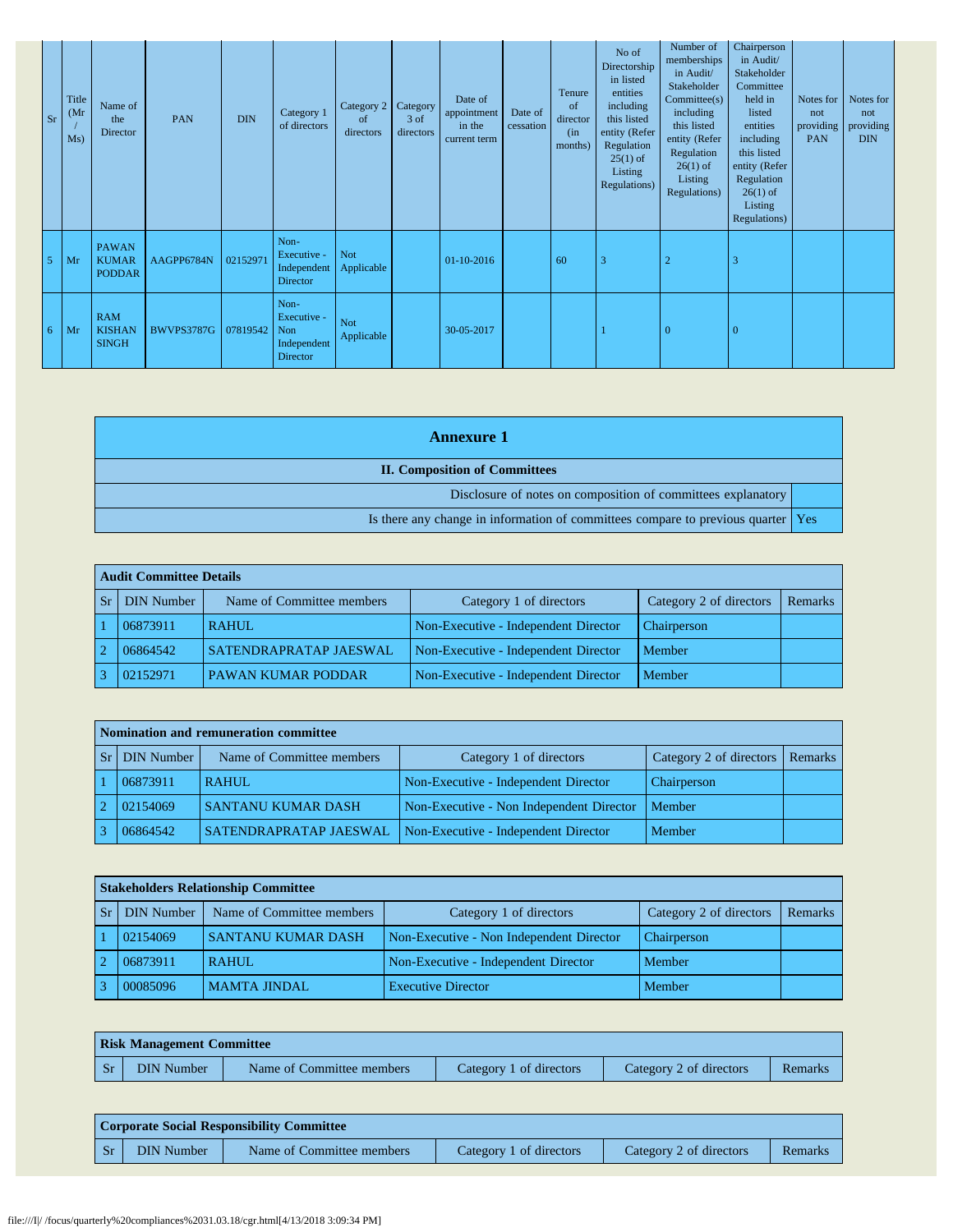| Sr | <b>Title</b><br>(Mr)<br>Ms) | Name of<br>the<br>Director                    | PAN                 | <b>DIN</b> | Category 1<br>of directors                                   | Category 2 Category<br><sub>of</sub><br>directors | 3 of<br>directors | Date of<br>appointment<br>in the<br>current term | Date of<br>cessation | Tenure<br>of<br>director<br>(in)<br>months) | No of<br>Directorship<br>in listed<br>entities<br>including<br>this listed<br>entity (Refer<br>Regulation<br>$25(1)$ of<br>Listing<br>Regulations) | Number of<br>memberships<br>in Audit/<br>Stakeholder<br>Commitee(s)<br>including<br>this listed<br>entity (Refer<br>Regulation<br>$26(1)$ of<br>Listing<br>Regulations) | Chairperson<br>in Audit/<br>Stakeholder<br>Committee<br>held in<br>listed<br>entities<br>including<br>this listed<br>entity (Refer<br>Regulation<br>$26(1)$ of<br>Listing<br>Regulations) | Notes for<br>not<br>providing<br>PAN | Notes for<br>not<br>providing<br><b>DIN</b> |
|----|-----------------------------|-----------------------------------------------|---------------------|------------|--------------------------------------------------------------|---------------------------------------------------|-------------------|--------------------------------------------------|----------------------|---------------------------------------------|----------------------------------------------------------------------------------------------------------------------------------------------------|-------------------------------------------------------------------------------------------------------------------------------------------------------------------------|-------------------------------------------------------------------------------------------------------------------------------------------------------------------------------------------|--------------------------------------|---------------------------------------------|
| 5  | Mr                          | <b>PAWAN</b><br><b>KUMAR</b><br><b>PODDAR</b> | AAGPP6784N          | 02152971   | Non-<br>Executive -<br>Independent<br>Director               | <b>Not</b><br>Applicable                          |                   | 01-10-2016                                       |                      | 60                                          | 3                                                                                                                                                  | $\overline{2}$                                                                                                                                                          | 3                                                                                                                                                                                         |                                      |                                             |
| 6  | Mr                          | <b>RAM</b><br><b>KISHAN</b><br><b>SINGH</b>   | BWVPS3787G 07819542 |            | Non-<br>Executive -<br><b>Non</b><br>Independent<br>Director | <b>Not</b><br>Applicable                          |                   | 30-05-2017                                       |                      |                                             |                                                                                                                                                    | $\Omega$                                                                                                                                                                | $\Omega$                                                                                                                                                                                  |                                      |                                             |

| <b>Annexure</b> 1                                                                |  |
|----------------------------------------------------------------------------------|--|
| <b>II. Composition of Committees</b>                                             |  |
| Disclosure of notes on composition of committees explanatory                     |  |
| Is there any change in information of committees compare to previous quarter Yes |  |

|                | Audit Committee Details |                               |                                      |                         |         |  |  |  |  |  |  |
|----------------|-------------------------|-------------------------------|--------------------------------------|-------------------------|---------|--|--|--|--|--|--|
| <b>Sr</b>      | <b>DIN</b> Number       | Name of Committee members     | Category 1 of directors              | Category 2 of directors | Remarks |  |  |  |  |  |  |
|                | 06873911                | <b>RAHUL</b>                  | Non-Executive - Independent Director | Chairperson             |         |  |  |  |  |  |  |
| $\overline{2}$ | 06864542                | <b>SATENDRAPRATAP JAESWAL</b> | Non-Executive - Independent Director | Member                  |         |  |  |  |  |  |  |
|                | 02152971                | <b>PAWAN KUMAR PODDAR</b>     | Non-Executive - Independent Director | Member                  |         |  |  |  |  |  |  |

|                | Nomination and remuneration committee |                           |                                          |                                   |  |  |  |  |  |  |  |  |
|----------------|---------------------------------------|---------------------------|------------------------------------------|-----------------------------------|--|--|--|--|--|--|--|--|
| <b>Sr</b>      | <b>DIN Number</b>                     | Name of Committee members | Category 1 of directors                  | Category 2 of directors   Remarks |  |  |  |  |  |  |  |  |
|                | 06873911                              | <b>RAHUL</b>              | Non-Executive - Independent Director     | Chairperson                       |  |  |  |  |  |  |  |  |
| $\overline{2}$ | 02154069                              | <b>SANTANU KUMAR DASH</b> | Non-Executive - Non Independent Director | Member                            |  |  |  |  |  |  |  |  |
|                | 06864542                              | SATENDRAPRATAP JAESWAL    | Non-Executive - Independent Director     | Member                            |  |  |  |  |  |  |  |  |

| <b>Stakeholders Relationship Committee</b> |                           |                                          |                         |         |  |  |  |  |  |  |  |  |
|--------------------------------------------|---------------------------|------------------------------------------|-------------------------|---------|--|--|--|--|--|--|--|--|
| <b>DIN</b> Number                          | Name of Committee members | Category 1 of directors                  | Category 2 of directors | Remarks |  |  |  |  |  |  |  |  |
| 02154069                                   | <b>SANTANU KUMAR DASH</b> | Non-Executive - Non Independent Director | Chairperson             |         |  |  |  |  |  |  |  |  |
| 06873911                                   | <b>RAHUL</b>              | Non-Executive - Independent Director     | Member                  |         |  |  |  |  |  |  |  |  |
| 00085096                                   | <b>MAMTA JINDAL</b>       | <b>Executive Director</b>                | Member                  |         |  |  |  |  |  |  |  |  |

|         | <b>Risk Management Committee</b> |                           |                         |                         |         |  |  |  |  |  |  |  |
|---------|----------------------------------|---------------------------|-------------------------|-------------------------|---------|--|--|--|--|--|--|--|
| $S_{r}$ | <b>DIN Number</b>                | Name of Committee members | Category 1 of directors | Category 2 of directors | Remarks |  |  |  |  |  |  |  |

|                 | <b>Corporate Social Responsibility Committee</b> |                           |                         |                         |         |  |  |  |  |  |  |
|-----------------|--------------------------------------------------|---------------------------|-------------------------|-------------------------|---------|--|--|--|--|--|--|
| Sr <sub>2</sub> | DIN Number                                       | Name of Committee members | Category 1 of directors | Category 2 of directors | Remarks |  |  |  |  |  |  |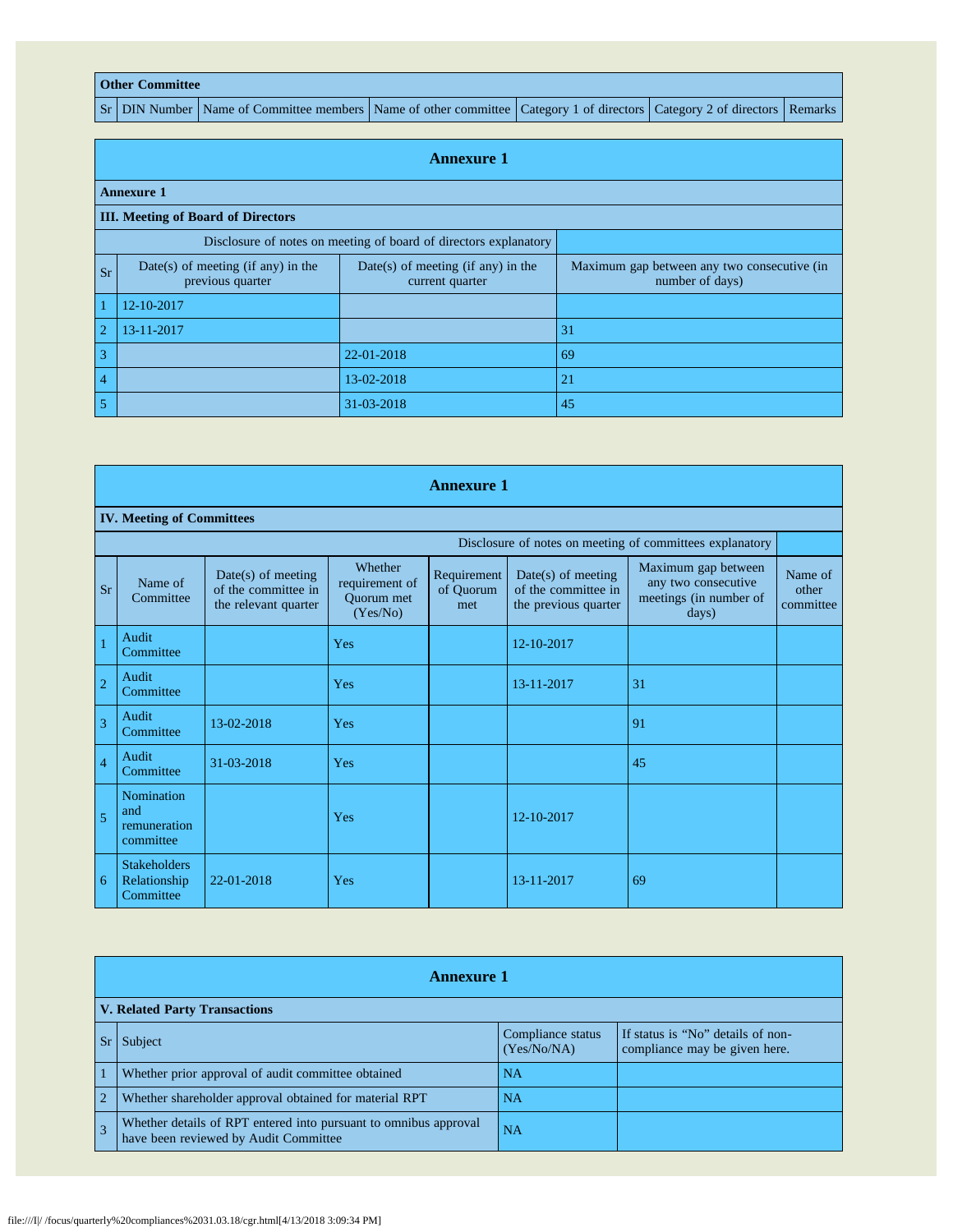## **Other Committee**

Sr DIN Number Name of Committee members Name of other committee Category 1 of directors Category 2 of directors Remarks

|                | <b>Annexure 1</b>                                                |                                                         |                                                                |  |  |  |  |  |  |  |  |
|----------------|------------------------------------------------------------------|---------------------------------------------------------|----------------------------------------------------------------|--|--|--|--|--|--|--|--|
|                | <b>Annexure 1</b>                                                |                                                         |                                                                |  |  |  |  |  |  |  |  |
|                | <b>III. Meeting of Board of Directors</b>                        |                                                         |                                                                |  |  |  |  |  |  |  |  |
|                | Disclosure of notes on meeting of board of directors explanatory |                                                         |                                                                |  |  |  |  |  |  |  |  |
| <b>Sr</b>      | Date(s) of meeting (if any) in the<br>previous quarter           | $Date(s)$ of meeting (if any) in the<br>current quarter | Maximum gap between any two consecutive (in<br>number of days) |  |  |  |  |  |  |  |  |
| $\vert$ 1      | 12-10-2017                                                       |                                                         |                                                                |  |  |  |  |  |  |  |  |
| $\overline{2}$ | 13-11-2017                                                       |                                                         | 31                                                             |  |  |  |  |  |  |  |  |
| $\overline{3}$ |                                                                  | 22-01-2018                                              | 69                                                             |  |  |  |  |  |  |  |  |
| $\overline{4}$ |                                                                  | 13-02-2018                                              | 21                                                             |  |  |  |  |  |  |  |  |
| $\overline{5}$ |                                                                  | 31-03-2018                                              | 45                                                             |  |  |  |  |  |  |  |  |

|                | <b>Annexure 1</b>                                        |                                                                     |                                                     |                                 |                                                                     |                                                                               |                               |  |  |  |  |
|----------------|----------------------------------------------------------|---------------------------------------------------------------------|-----------------------------------------------------|---------------------------------|---------------------------------------------------------------------|-------------------------------------------------------------------------------|-------------------------------|--|--|--|--|
|                | <b>IV. Meeting of Committees</b>                         |                                                                     |                                                     |                                 |                                                                     |                                                                               |                               |  |  |  |  |
|                | Disclosure of notes on meeting of committees explanatory |                                                                     |                                                     |                                 |                                                                     |                                                                               |                               |  |  |  |  |
| <b>Sr</b>      | Name of<br>Committee                                     | $Date(s)$ of meeting<br>of the committee in<br>the relevant quarter | Whether<br>requirement of<br>Quorum met<br>(Yes/No) | Requirement<br>of Quorum<br>met | $Date(s)$ of meeting<br>of the committee in<br>the previous quarter | Maximum gap between<br>any two consecutive<br>meetings (in number of<br>days) | Name of<br>other<br>committee |  |  |  |  |
|                | Audit<br>Committee                                       |                                                                     | Yes                                                 |                                 | 12-10-2017                                                          |                                                                               |                               |  |  |  |  |
| $\overline{2}$ | Audit<br>Committee                                       |                                                                     | Yes                                                 |                                 | 13-11-2017                                                          | 31                                                                            |                               |  |  |  |  |
| $\overline{3}$ | Audit<br>Committee                                       | 13-02-2018                                                          | Yes                                                 |                                 |                                                                     | 91                                                                            |                               |  |  |  |  |
| $\overline{4}$ | Audit<br>Committee                                       | 31-03-2018                                                          | Yes                                                 |                                 |                                                                     | 45                                                                            |                               |  |  |  |  |
| 5              | Nomination<br>and<br>remuneration<br>committee           |                                                                     | Yes                                                 |                                 | 12-10-2017                                                          |                                                                               |                               |  |  |  |  |
| 6              | <b>Stakeholders</b><br>Relationship<br>Committee         | 22-01-2018                                                          | Yes                                                 |                                 | 13-11-2017                                                          | 69                                                                            |                               |  |  |  |  |

|                | <b>Annexure 1</b>                                                                                         |                                  |                                                                    |  |  |  |
|----------------|-----------------------------------------------------------------------------------------------------------|----------------------------------|--------------------------------------------------------------------|--|--|--|
|                | <b>V. Related Party Transactions</b>                                                                      |                                  |                                                                    |  |  |  |
|                | Sr Subject                                                                                                | Compliance status<br>(Yes/No/NA) | If status is "No" details of non-<br>compliance may be given here. |  |  |  |
| $\vert$ 1      | Whether prior approval of audit committee obtained                                                        | <b>NA</b>                        |                                                                    |  |  |  |
| $\overline{2}$ | Whether shareholder approval obtained for material RPT                                                    | <b>NA</b>                        |                                                                    |  |  |  |
| $\overline{3}$ | Whether details of RPT entered into pursuant to omnibus approval<br>have been reviewed by Audit Committee | <b>NA</b>                        |                                                                    |  |  |  |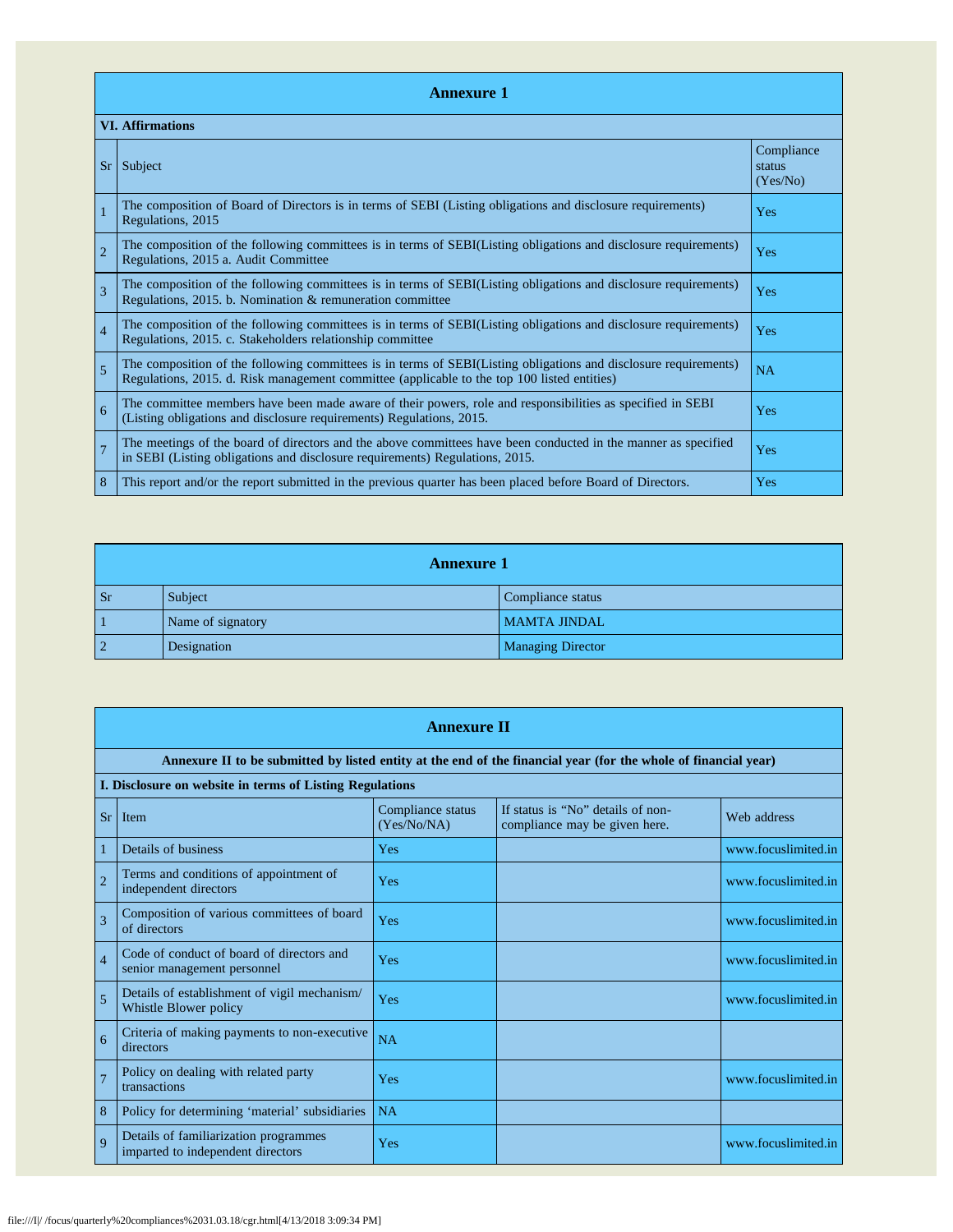|                | <b>Annexure 1</b>                                                                                                                                                                                               |                                  |  |  |  |  |
|----------------|-----------------------------------------------------------------------------------------------------------------------------------------------------------------------------------------------------------------|----------------------------------|--|--|--|--|
|                | <b>VI.</b> Affirmations                                                                                                                                                                                         |                                  |  |  |  |  |
| $S_{r}$        | Subject                                                                                                                                                                                                         | Compliance<br>status<br>(Yes/No) |  |  |  |  |
|                | The composition of Board of Directors is in terms of SEBI (Listing obligations and disclosure requirements)<br>Regulations, 2015                                                                                | Yes                              |  |  |  |  |
| $\overline{2}$ | The composition of the following committees is in terms of SEBI(Listing obligations and disclosure requirements)<br>Regulations, 2015 a. Audit Committee                                                        | Yes                              |  |  |  |  |
| $\overline{3}$ | The composition of the following committees is in terms of SEBI(Listing obligations and disclosure requirements)<br>Regulations, 2015. b. Nomination & remuneration committee                                   | Yes                              |  |  |  |  |
| $\overline{4}$ | The composition of the following committees is in terms of SEBI(Listing obligations and disclosure requirements)<br>Regulations, 2015. c. Stakeholders relationship committee                                   | Yes                              |  |  |  |  |
| 5              | The composition of the following committees is in terms of SEBI(Listing obligations and disclosure requirements)<br>Regulations, 2015. d. Risk management committee (applicable to the top 100 listed entities) | NA                               |  |  |  |  |
| 6              | The committee members have been made aware of their powers, role and responsibilities as specified in SEBI<br>(Listing obligations and disclosure requirements) Regulations, 2015.                              | Yes                              |  |  |  |  |
|                | The meetings of the board of directors and the above committees have been conducted in the manner as specified<br>in SEBI (Listing obligations and disclosure requirements) Regulations, 2015.                  | Yes                              |  |  |  |  |
| 8              | This report and/or the report submitted in the previous quarter has been placed before Board of Directors.                                                                                                      | Yes                              |  |  |  |  |

|                | <b>Annexure 1</b> |                          |  |  |  |
|----------------|-------------------|--------------------------|--|--|--|
| <b>Sr</b>      | Subject           | Compliance status        |  |  |  |
|                | Name of signatory | <b>MAMTA JINDAL</b>      |  |  |  |
| $\overline{2}$ | Designation       | <b>Managing Director</b> |  |  |  |

|                | <b>Annexure II</b>                                                         |                                  |                                                                                                                 |                     |  |  |
|----------------|----------------------------------------------------------------------------|----------------------------------|-----------------------------------------------------------------------------------------------------------------|---------------------|--|--|
|                |                                                                            |                                  | Annexure II to be submitted by listed entity at the end of the financial year (for the whole of financial year) |                     |  |  |
|                | I. Disclosure on website in terms of Listing Regulations                   |                                  |                                                                                                                 |                     |  |  |
| Sr             | Item                                                                       | Compliance status<br>(Yes/No/NA) | If status is "No" details of non-<br>compliance may be given here.                                              | Web address         |  |  |
|                | Details of business                                                        | Yes                              |                                                                                                                 | www.focuslimited.in |  |  |
| $\overline{2}$ | Terms and conditions of appointment of<br>independent directors            | <b>Yes</b>                       |                                                                                                                 | www.focuslimited.in |  |  |
| 3              | Composition of various committees of board<br>of directors                 | Yes                              |                                                                                                                 | www.focuslimited.in |  |  |
| $\overline{4}$ | Code of conduct of board of directors and<br>senior management personnel   | Yes                              |                                                                                                                 | www.focuslimited.in |  |  |
| 5              | Details of establishment of vigil mechanism/<br>Whistle Blower policy      | Yes                              |                                                                                                                 | www.focuslimited.in |  |  |
| 6              | Criteria of making payments to non-executive<br>directors                  | <b>NA</b>                        |                                                                                                                 |                     |  |  |
| $\overline{7}$ | Policy on dealing with related party<br>transactions                       | <b>Yes</b>                       |                                                                                                                 | www.focuslimited.in |  |  |
| 8              | Policy for determining 'material' subsidiaries                             | NA                               |                                                                                                                 |                     |  |  |
| $\mathbf{Q}$   | Details of familiarization programmes<br>imparted to independent directors | Yes                              |                                                                                                                 | www.focuslimited.in |  |  |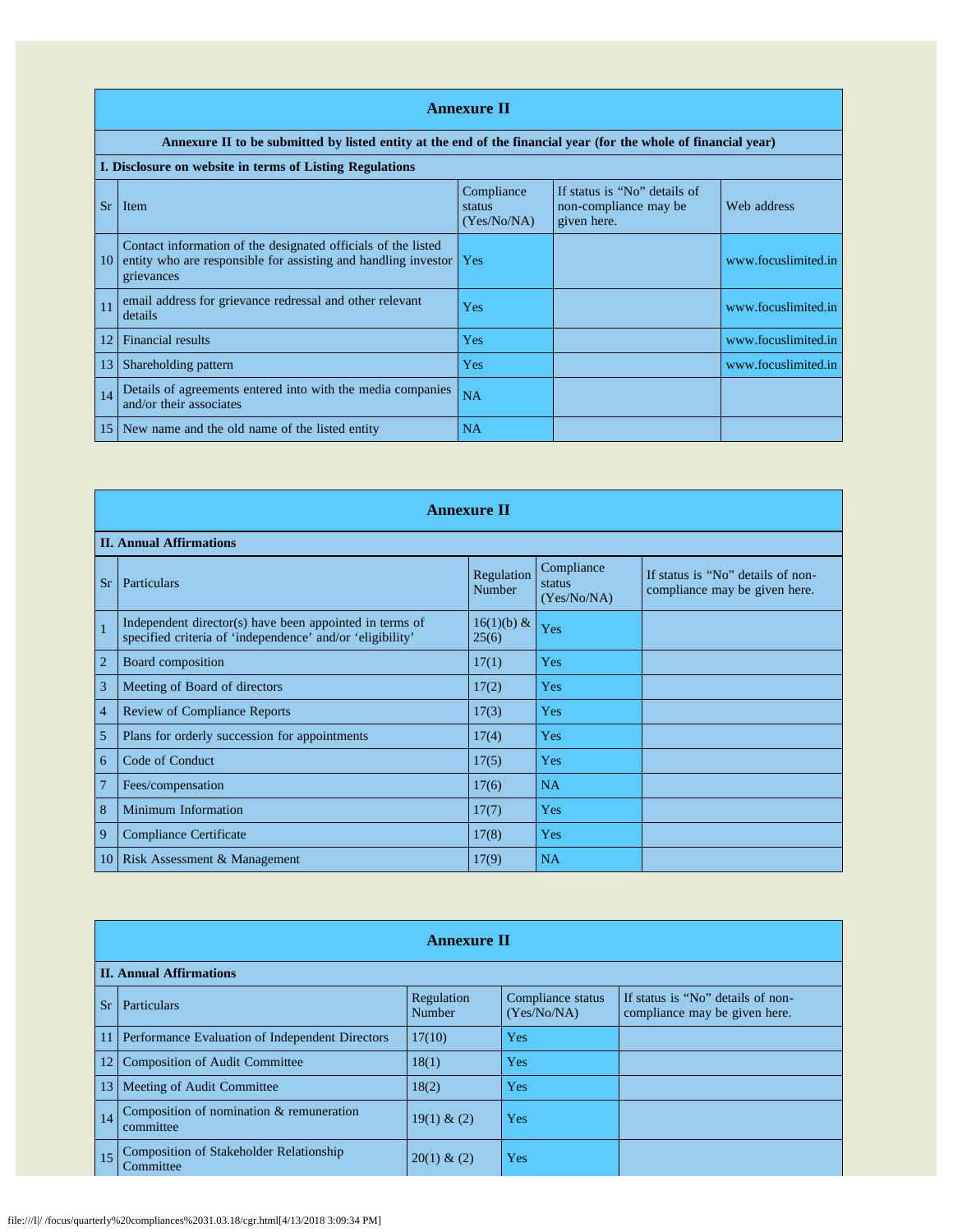|    | <b>Annexure II</b>                                                                                                                                  |                                     |                                                                      |                     |  |  |
|----|-----------------------------------------------------------------------------------------------------------------------------------------------------|-------------------------------------|----------------------------------------------------------------------|---------------------|--|--|
|    | Annexure II to be submitted by listed entity at the end of the financial year (for the whole of financial year)                                     |                                     |                                                                      |                     |  |  |
|    | I. Disclosure on website in terms of Listing Regulations                                                                                            |                                     |                                                                      |                     |  |  |
| Sr | <b>Item</b>                                                                                                                                         | Compliance<br>status<br>(Yes/No/NA) | If status is "No" details of<br>non-compliance may be<br>given here. | Web address         |  |  |
| 10 | Contact information of the designated officials of the listed<br>entity who are responsible for assisting and handling investor   Yes<br>grievances |                                     |                                                                      | www.focuslimited.in |  |  |
| 11 | email address for grievance redressal and other relevant<br>details                                                                                 | Yes                                 |                                                                      | www.focuslimited.in |  |  |
| 12 | <b>Financial results</b>                                                                                                                            | Yes                                 |                                                                      | www.focuslimited.in |  |  |
| 13 | Shareholding pattern                                                                                                                                | Yes                                 |                                                                      | www.focuslimited.in |  |  |
| 14 | Details of agreements entered into with the media companies<br>and/or their associates                                                              | <b>NA</b>                           |                                                                      |                     |  |  |
| 15 | New name and the old name of the listed entity                                                                                                      | NA                                  |                                                                      |                     |  |  |

|                | <b>Annexure II</b>                                                                                                   |                        |                                     |                                                                    |  |  |
|----------------|----------------------------------------------------------------------------------------------------------------------|------------------------|-------------------------------------|--------------------------------------------------------------------|--|--|
|                | <b>II. Annual Affirmations</b>                                                                                       |                        |                                     |                                                                    |  |  |
| Sr             | Particulars                                                                                                          | Regulation<br>Number   | Compliance<br>status<br>(Yes/No/NA) | If status is "No" details of non-<br>compliance may be given here. |  |  |
| $\mathbf{1}$   | Independent director(s) have been appointed in terms of<br>specified criteria of 'independence' and/or 'eligibility' | $16(1)(b) \&$<br>25(6) | Yes                                 |                                                                    |  |  |
| $\overline{2}$ | Board composition                                                                                                    | 17(1)                  | Yes                                 |                                                                    |  |  |
| 3              | Meeting of Board of directors                                                                                        | 17(2)                  | Yes                                 |                                                                    |  |  |
| $\overline{4}$ | <b>Review of Compliance Reports</b>                                                                                  | 17(3)                  | Yes                                 |                                                                    |  |  |
| 5              | Plans for orderly succession for appointments                                                                        | 17(4)                  | Yes                                 |                                                                    |  |  |
| 6              | Code of Conduct                                                                                                      | 17(5)                  | Yes                                 |                                                                    |  |  |
| $\overline{7}$ | Fees/compensation                                                                                                    | 17(6)                  | <b>NA</b>                           |                                                                    |  |  |
| 8              | Minimum Information                                                                                                  | 17(7)                  | Yes                                 |                                                                    |  |  |
| 9              | Compliance Certificate                                                                                               | 17(8)                  | Yes                                 |                                                                    |  |  |
| 10             | Risk Assessment & Management                                                                                         | 17(9)                  | <b>NA</b>                           |                                                                    |  |  |

|           | <b>Annexure II</b>                                          |                      |                                  |                                                                    |  |  |
|-----------|-------------------------------------------------------------|----------------------|----------------------------------|--------------------------------------------------------------------|--|--|
|           | <b>II. Annual Affirmations</b>                              |                      |                                  |                                                                    |  |  |
| <b>Sr</b> | <b>Particulars</b>                                          | Regulation<br>Number | Compliance status<br>(Yes/No/NA) | If status is "No" details of non-<br>compliance may be given here. |  |  |
|           | Performance Evaluation of Independent Directors             | 17(10)               | Yes                              |                                                                    |  |  |
|           | <b>Composition of Audit Committee</b>                       | 18(1)                | Yes                              |                                                                    |  |  |
| 13        | Meeting of Audit Committee                                  | 18(2)                | Yes                              |                                                                    |  |  |
| 14        | Composition of nomination & remuneration<br>committee       | $19(1) \& (2)$       | Yes                              |                                                                    |  |  |
| 15        | <b>Composition of Stakeholder Relationship</b><br>Committee | 20(1) & (2)          | Yes                              |                                                                    |  |  |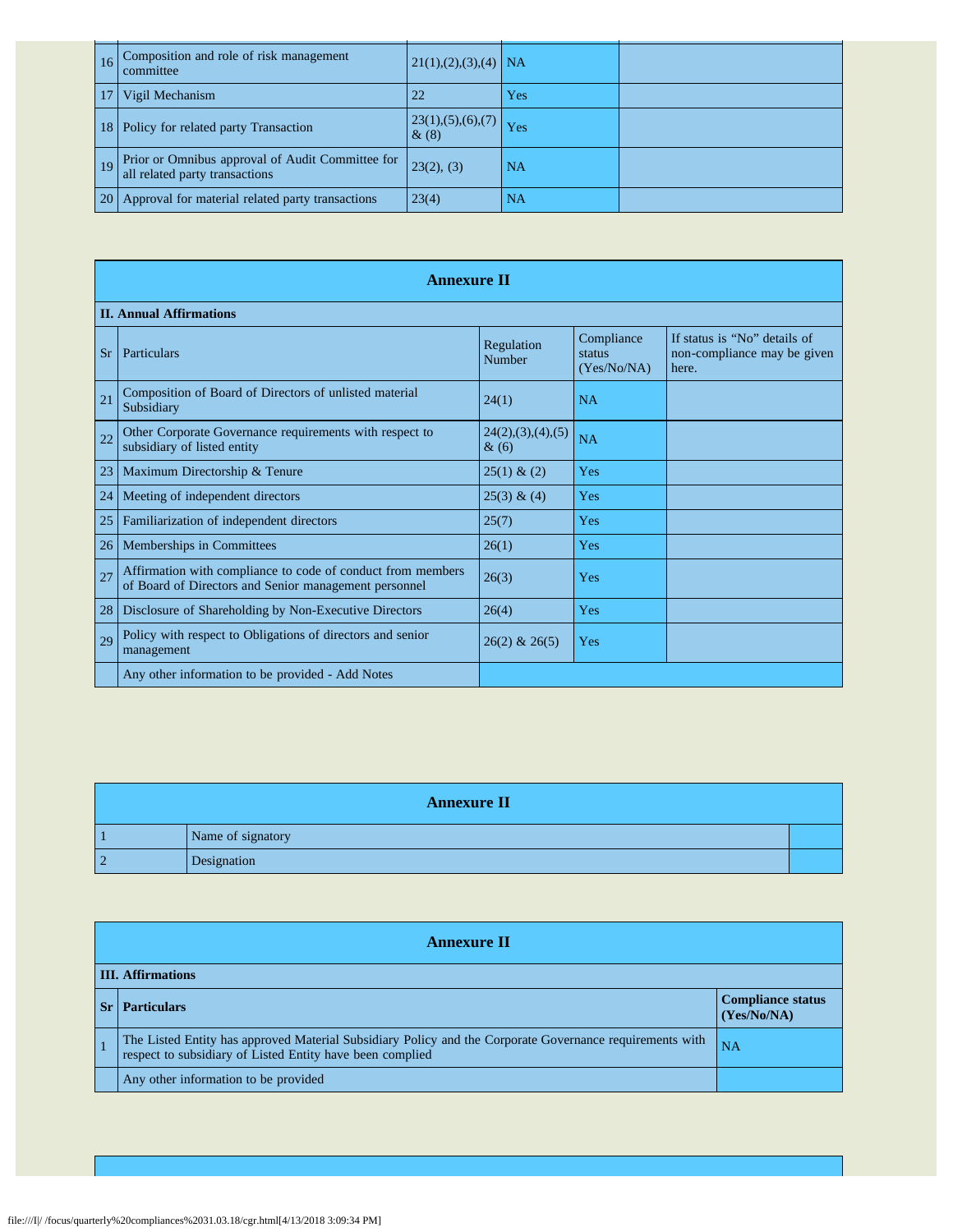| 16        | Composition and role of risk management<br>committee                               | $21(1),(2),(3),(4)$ NA        |           |  |
|-----------|------------------------------------------------------------------------------------|-------------------------------|-----------|--|
|           | Vigil Mechanism                                                                    | 22                            | Yes       |  |
| 18 I      | Policy for related party Transaction                                               | 23(1), (5), (6), (7)<br>& (8) | Yes       |  |
|           | Prior or Omnibus approval of Audit Committee for<br>all related party transactions | 23(2), (3)                    | NA        |  |
| <b>20</b> | Approval for material related party transactions                                   | 23(4)                         | <b>NA</b> |  |

|           | <b>Annexure II</b>                                                                                                   |                                 |                                     |                                                                      |  |
|-----------|----------------------------------------------------------------------------------------------------------------------|---------------------------------|-------------------------------------|----------------------------------------------------------------------|--|
|           | <b>II. Annual Affirmations</b>                                                                                       |                                 |                                     |                                                                      |  |
| <b>Sr</b> | <b>Particulars</b>                                                                                                   | Regulation<br>Number            | Compliance<br>status<br>(Yes/No/NA) | If status is "No" details of<br>non-compliance may be given<br>here. |  |
| 21        | Composition of Board of Directors of unlisted material<br>Subsidiary                                                 | 24(1)                           | <b>NA</b>                           |                                                                      |  |
| 22        | Other Corporate Governance requirements with respect to<br>subsidiary of listed entity                               | 24(2), (3), (4), (5)<br>$\&(6)$ | <b>NA</b>                           |                                                                      |  |
| 23        | Maximum Directorship & Tenure                                                                                        | 25(1) & (2)                     | <b>Yes</b>                          |                                                                      |  |
| 24        | Meeting of independent directors                                                                                     | 25(3) & (4)                     | Yes                                 |                                                                      |  |
| 25        | Familiarization of independent directors                                                                             | 25(7)                           | <b>Yes</b>                          |                                                                      |  |
| 26        | Memberships in Committees                                                                                            | 26(1)                           | <b>Yes</b>                          |                                                                      |  |
| 27        | Affirmation with compliance to code of conduct from members<br>of Board of Directors and Senior management personnel | 26(3)                           | Yes                                 |                                                                      |  |
| 28        | Disclosure of Shareholding by Non-Executive Directors                                                                | 26(4)                           | <b>Yes</b>                          |                                                                      |  |
| 29        | Policy with respect to Obligations of directors and senior<br>management                                             | $26(2)$ & $26(5)$               | Yes                                 |                                                                      |  |
|           | Any other information to be provided - Add Notes                                                                     |                                 |                                     |                                                                      |  |

|                | <b>Annexure II</b> |  |
|----------------|--------------------|--|
|                | Name of signatory  |  |
| $\overline{2}$ | Designation        |  |

| <b>Annexure II</b>                                                                                                                                                    |                                         |  |  |  |
|-----------------------------------------------------------------------------------------------------------------------------------------------------------------------|-----------------------------------------|--|--|--|
| <b>III. Affirmations</b>                                                                                                                                              |                                         |  |  |  |
| <b>Particulars</b>                                                                                                                                                    | <b>Compliance status</b><br>(Yes/No/NA) |  |  |  |
| The Listed Entity has approved Material Subsidiary Policy and the Corporate Governance requirements with<br>respect to subsidiary of Listed Entity have been complied | <b>NA</b>                               |  |  |  |
| Any other information to be provided                                                                                                                                  |                                         |  |  |  |